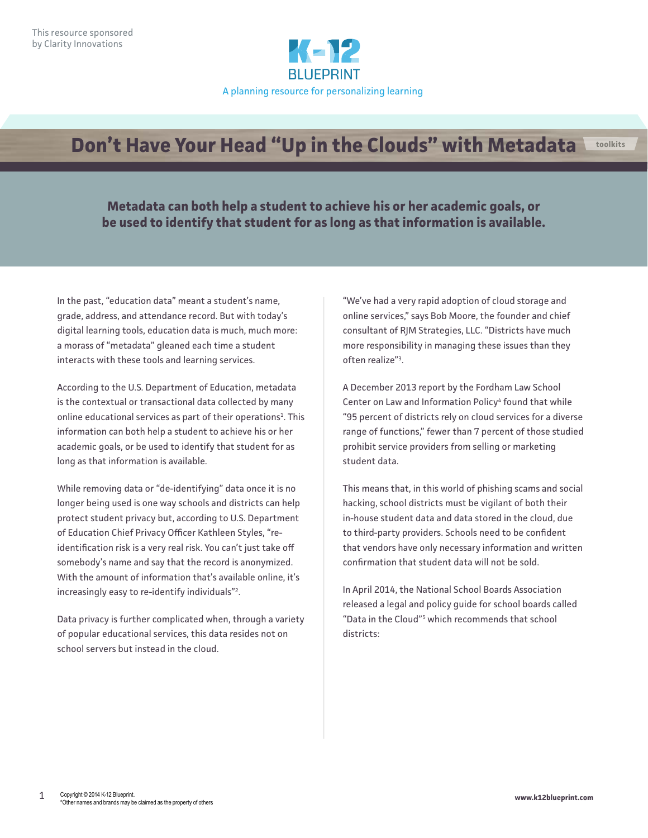

## **Don't Have Your Head "Up in the Clouds" with Metadata toolkits**

**Metadata can both help a student to achieve his or her academic goals, or be used to identify that student for as long as that information is available.**

In the past, "education data" meant a student's name, grade, address, and attendance record. But with today's digital learning tools, education data is much, much more: a morass of "metadata" gleaned each time a student interacts with these tools and learning services.

According to the U.S. Department of Education, metadata is the contextual or transactional data collected by many online educational services as part of their operations<sup>1</sup>. This information can both help a student to achieve his or her academic goals, or be used to identify that student for as long as that information is available.

While removing data or "de-identifying" data once it is no longer being used is one way schools and districts can help protect student privacy but, according to U.S. Department of Education Chief Privacy Officer Kathleen Styles, "reidentification risk is a very real risk. You can't just take off somebody's name and say that the record is anonymized. With the amount of information that's available online, it's increasingly easy to re-identify individuals"2 .

Data privacy is further complicated when, through a variety of popular educational services, this data resides not on school servers but instead in the cloud.

"We've had a very rapid adoption of cloud storage and online services," says Bob Moore, the founder and chief consultant of RJM Strategies, LLC. "Districts have much more responsibility in managing these issues than they often realize"3 .

A December 2013 report by the Fordham Law School Center on Law and Information Policy<sup>4</sup> found that while "95 percent of districts rely on cloud services for a diverse range of functions," fewer than 7 percent of those studied prohibit service providers from selling or marketing student data.

This means that, in this world of phishing scams and social hacking, school districts must be vigilant of both their in-house student data and data stored in the cloud, due to third-party providers. Schools need to be confident that vendors have only necessary information and written confirmation that student data will not be sold.

In April 2014, the National School Boards Association released a legal and policy guide for school boards called "Data in the Cloud"5 which recommends that school districts: